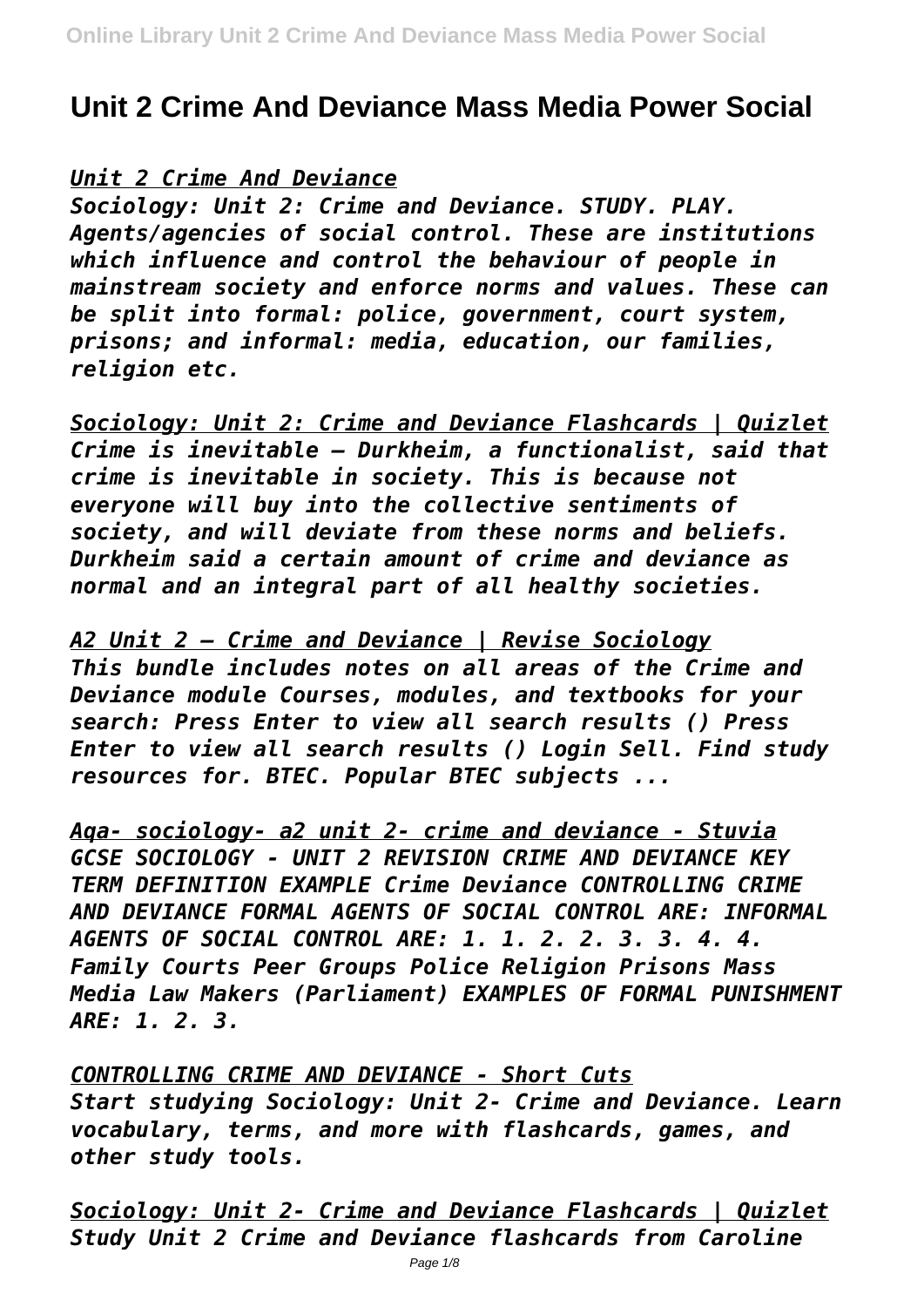# **Unit 2 Crime And Deviance Mass Media Power Social**

#### *Unit 2 Crime And Deviance*

*Sociology: Unit 2: Crime and Deviance. STUDY. PLAY. Agents/agencies of social control. These are institutions which influence and control the behaviour of people in mainstream society and enforce norms and values. These can be split into formal: police, government, court system, prisons; and informal: media, education, our families, religion etc.*

*Sociology: Unit 2: Crime and Deviance Flashcards | Quizlet Crime is inevitable – Durkheim, a functionalist, said that crime is inevitable in society. This is because not everyone will buy into the collective sentiments of society, and will deviate from these norms and beliefs. Durkheim said a certain amount of crime and deviance as normal and an integral part of all healthy societies.*

*A2 Unit 2 – Crime and Deviance | Revise Sociology This bundle includes notes on all areas of the Crime and Deviance module Courses, modules, and textbooks for your search: Press Enter to view all search results () Press Enter to view all search results () Login Sell. Find study resources for. BTEC. Popular BTEC subjects ...*

*Aqa- sociology- a2 unit 2- crime and deviance - Stuvia GCSE SOCIOLOGY - UNIT 2 REVISION CRIME AND DEVIANCE KEY TERM DEFINITION EXAMPLE Crime Deviance CONTROLLING CRIME AND DEVIANCE FORMAL AGENTS OF SOCIAL CONTROL ARE: INFORMAL AGENTS OF SOCIAL CONTROL ARE: 1. 1. 2. 2. 3. 3. 4. 4. Family Courts Peer Groups Police Religion Prisons Mass Media Law Makers (Parliament) EXAMPLES OF FORMAL PUNISHMENT ARE: 1. 2. 3.*

*CONTROLLING CRIME AND DEVIANCE - Short Cuts Start studying Sociology: Unit 2- Crime and Deviance. Learn vocabulary, terms, and more with flashcards, games, and other study tools.*

*Sociology: Unit 2- Crime and Deviance Flashcards | Quizlet Study Unit 2 Crime and Deviance flashcards from Caroline*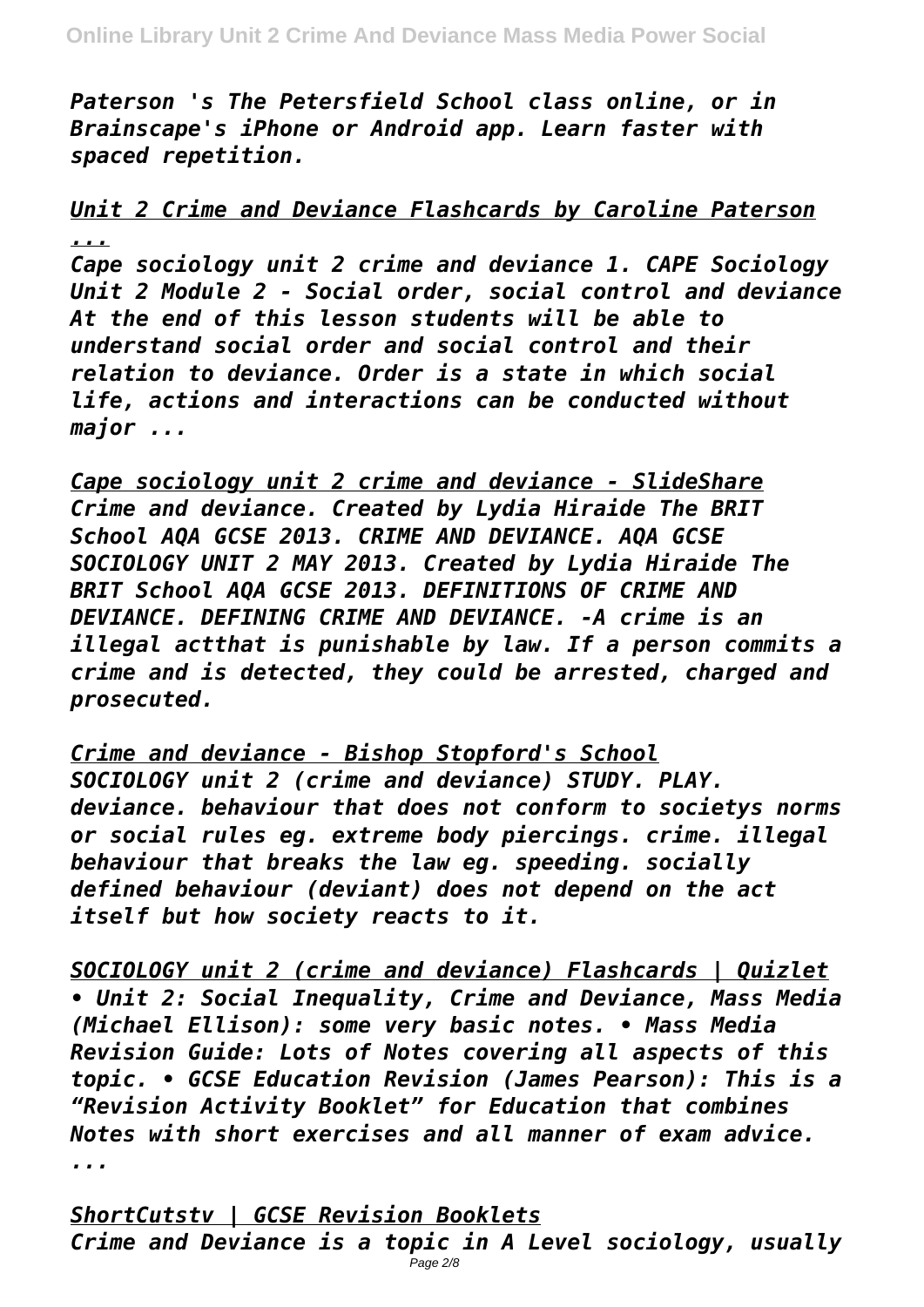*Paterson 's The Petersfield School class online, or in Brainscape's iPhone or Android app. Learn faster with spaced repetition.*

### *Unit 2 Crime and Deviance Flashcards by Caroline Paterson ...*

*Cape sociology unit 2 crime and deviance 1. CAPE Sociology Unit 2 Module 2 - Social order, social control and deviance At the end of this lesson students will be able to understand social order and social control and their relation to deviance. Order is a state in which social life, actions and interactions can be conducted without major ...*

*Cape sociology unit 2 crime and deviance - SlideShare Crime and deviance. Created by Lydia Hiraide The BRIT School AQA GCSE 2013. CRIME AND DEVIANCE. AQA GCSE SOCIOLOGY UNIT 2 MAY 2013. Created by Lydia Hiraide The BRIT School AQA GCSE 2013. DEFINITIONS OF CRIME AND DEVIANCE. DEFINING CRIME AND DEVIANCE. -A crime is an illegal actthat is punishable by law. If a person commits a crime and is detected, they could be arrested, charged and prosecuted.*

*Crime and deviance - Bishop Stopford's School SOCIOLOGY unit 2 (crime and deviance) STUDY. PLAY. deviance. behaviour that does not conform to societys norms or social rules eg. extreme body piercings. crime. illegal behaviour that breaks the law eg. speeding. socially defined behaviour (deviant) does not depend on the act itself but how society reacts to it.*

*SOCIOLOGY unit 2 (crime and deviance) Flashcards | Quizlet • Unit 2: Social Inequality, Crime and Deviance, Mass Media (Michael Ellison): some very basic notes. • Mass Media Revision Guide: Lots of Notes covering all aspects of this topic. • GCSE Education Revision (James Pearson): This is a "Revision Activity Booklet" for Education that combines Notes with short exercises and all manner of exam advice. ...*

*ShortCutstv | GCSE Revision Booklets Crime and Deviance is a topic in A Level sociology, usually*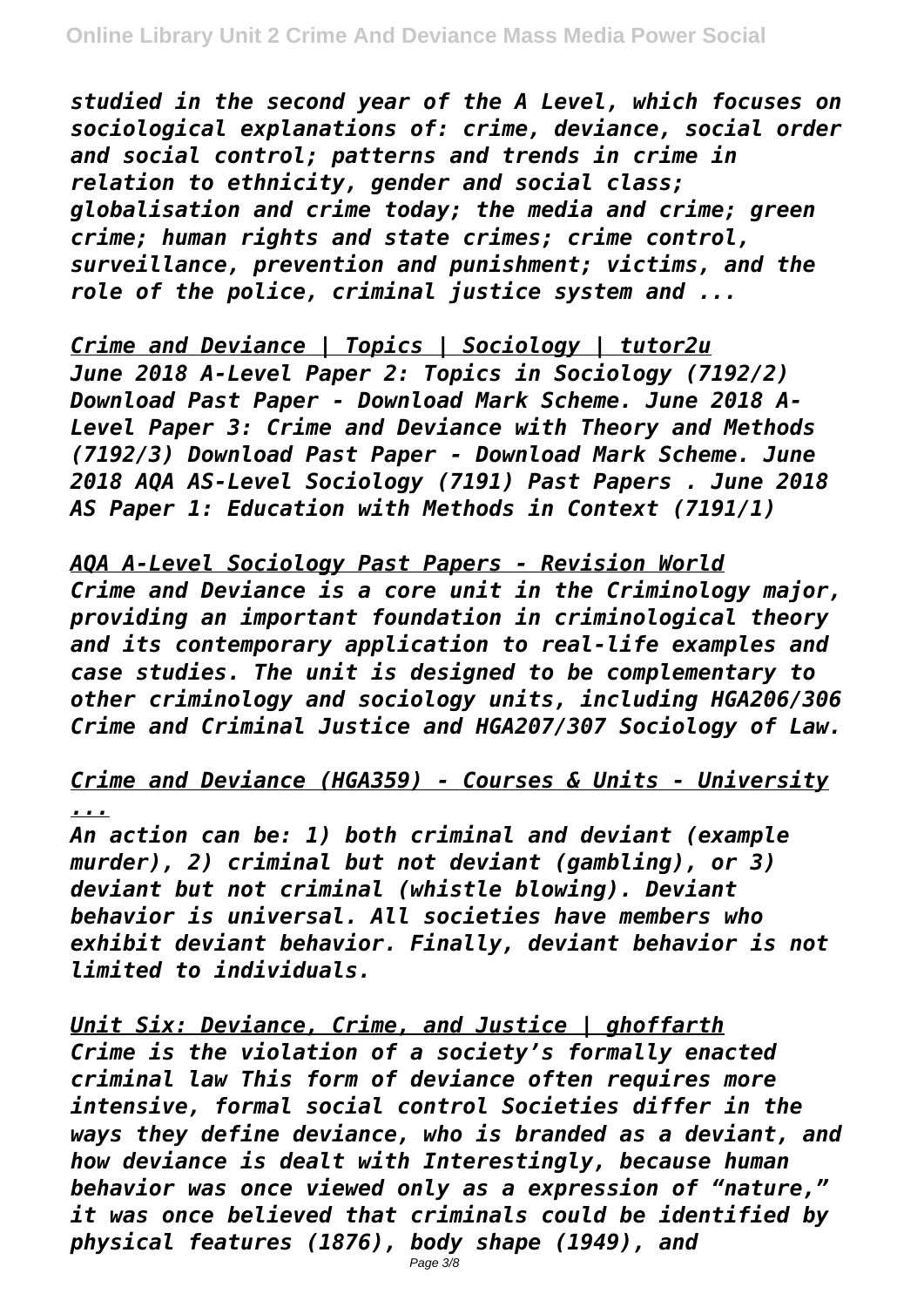*studied in the second year of the A Level, which focuses on sociological explanations of: crime, deviance, social order and social control; patterns and trends in crime in relation to ethnicity, gender and social class; globalisation and crime today; the media and crime; green crime; human rights and state crimes; crime control, surveillance, prevention and punishment; victims, and the role of the police, criminal justice system and ...*

*Crime and Deviance | Topics | Sociology | tutor2u June 2018 A-Level Paper 2: Topics in Sociology (7192/2) Download Past Paper - Download Mark Scheme. June 2018 A-Level Paper 3: Crime and Deviance with Theory and Methods (7192/3) Download Past Paper - Download Mark Scheme. June 2018 AQA AS-Level Sociology (7191) Past Papers . June 2018 AS Paper 1: Education with Methods in Context (7191/1)*

*AQA A-Level Sociology Past Papers - Revision World Crime and Deviance is a core unit in the Criminology major, providing an important foundation in criminological theory and its contemporary application to real-life examples and case studies. The unit is designed to be complementary to other criminology and sociology units, including HGA206/306 Crime and Criminal Justice and HGA207/307 Sociology of Law.*

*Crime and Deviance (HGA359) - Courses & Units - University*

#### *...*

*An action can be: 1) both criminal and deviant (example murder), 2) criminal but not deviant (gambling), or 3) deviant but not criminal (whistle blowing). Deviant behavior is universal. All societies have members who exhibit deviant behavior. Finally, deviant behavior is not limited to individuals.*

*Unit Six: Deviance, Crime, and Justice | ghoffarth Crime is the violation of a society's formally enacted criminal law This form of deviance often requires more intensive, formal social control Societies differ in the ways they define deviance, who is branded as a deviant, and how deviance is dealt with Interestingly, because human behavior was once viewed only as a expression of "nature," it was once believed that criminals could be identified by physical features (1876), body shape (1949), and*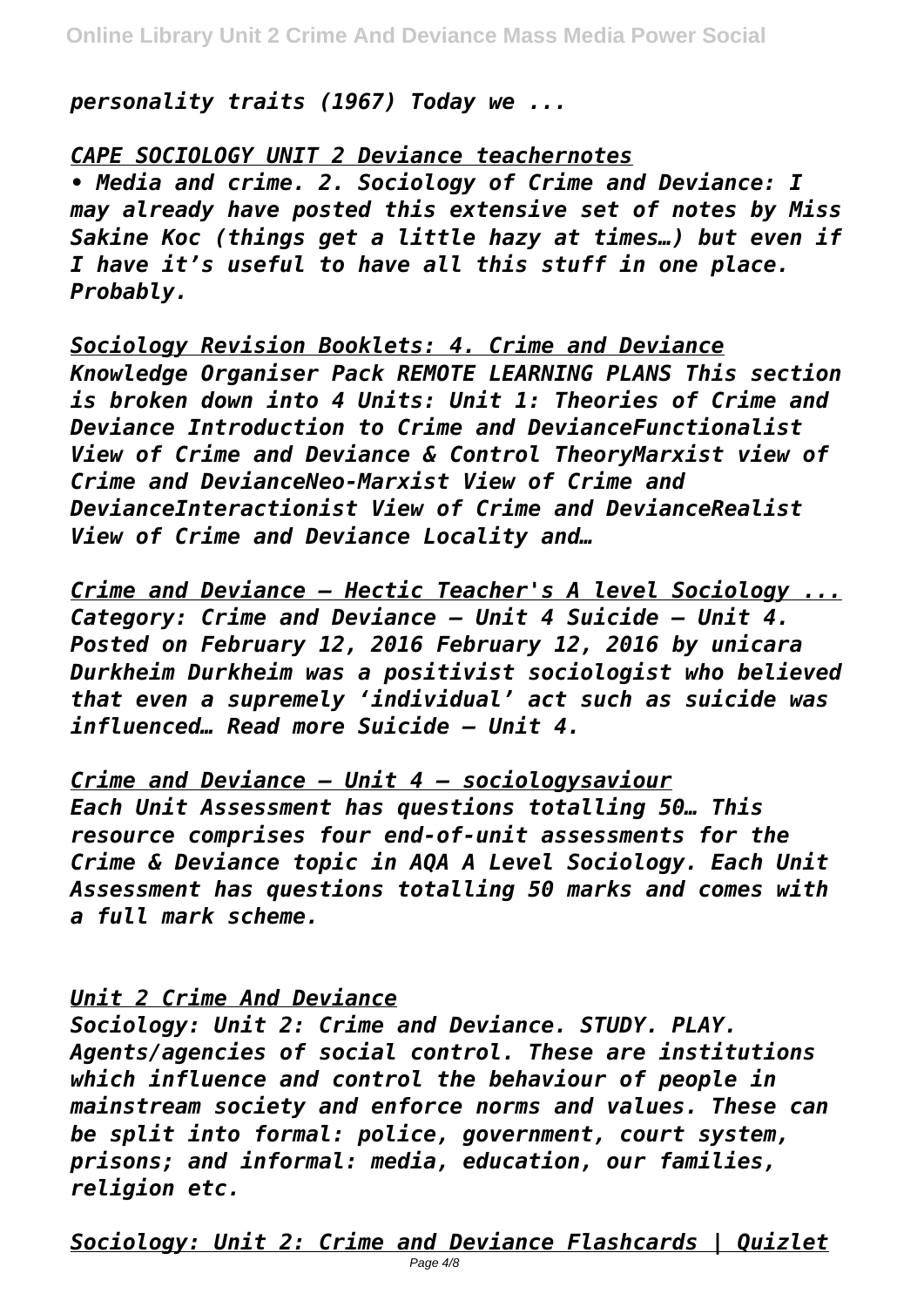*personality traits (1967) Today we ...*

*CAPE SOCIOLOGY UNIT 2 Deviance teachernotes*

*• Media and crime. 2. Sociology of Crime and Deviance: I may already have posted this extensive set of notes by Miss Sakine Koc (things get a little hazy at times…) but even if I have it's useful to have all this stuff in one place. Probably.*

*Sociology Revision Booklets: 4. Crime and Deviance Knowledge Organiser Pack REMOTE LEARNING PLANS This section is broken down into 4 Units: Unit 1: Theories of Crime and Deviance Introduction to Crime and DevianceFunctionalist View of Crime and Deviance & Control TheoryMarxist view of Crime and DevianceNeo-Marxist View of Crime and DevianceInteractionist View of Crime and DevianceRealist View of Crime and Deviance Locality and…*

*Crime and Deviance – Hectic Teacher's A level Sociology ... Category: Crime and Deviance – Unit 4 Suicide – Unit 4. Posted on February 12, 2016 February 12, 2016 by unicara Durkheim Durkheim was a positivist sociologist who believed that even a supremely 'individual' act such as suicide was influenced… Read more Suicide – Unit 4.*

*Crime and Deviance – Unit 4 – sociologysaviour Each Unit Assessment has questions totalling 50… This resource comprises four end-of-unit assessments for the Crime & Deviance topic in AQA A Level Sociology. Each Unit Assessment has questions totalling 50 marks and comes with a full mark scheme.*

#### *Unit 2 Crime And Deviance*

*Sociology: Unit 2: Crime and Deviance. STUDY. PLAY. Agents/agencies of social control. These are institutions which influence and control the behaviour of people in mainstream society and enforce norms and values. These can be split into formal: police, government, court system, prisons; and informal: media, education, our families, religion etc.*

*Sociology: Unit 2: Crime and Deviance Flashcards | Quizlet*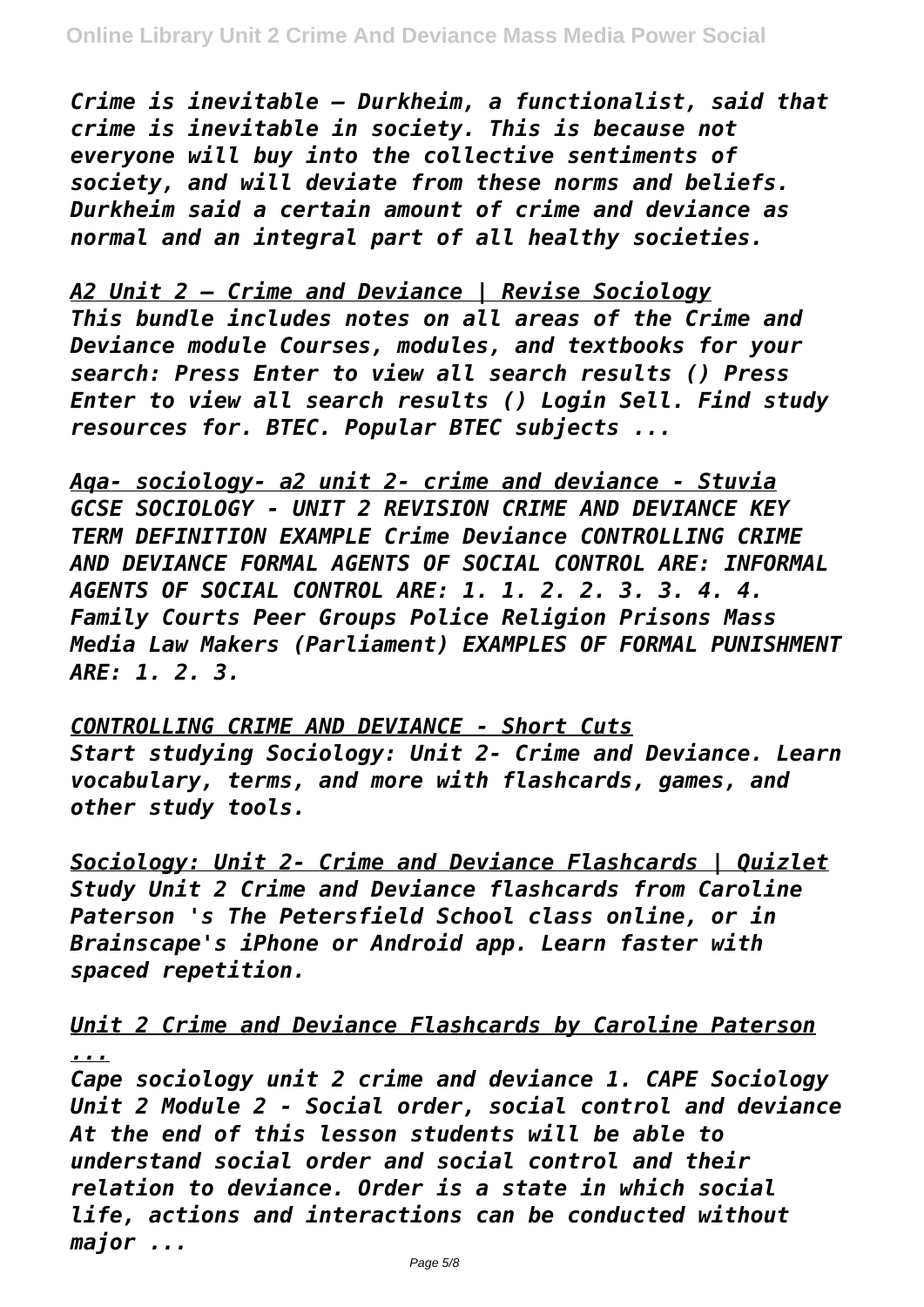*Crime is inevitable – Durkheim, a functionalist, said that crime is inevitable in society. This is because not everyone will buy into the collective sentiments of society, and will deviate from these norms and beliefs. Durkheim said a certain amount of crime and deviance as normal and an integral part of all healthy societies.*

*A2 Unit 2 – Crime and Deviance | Revise Sociology This bundle includes notes on all areas of the Crime and Deviance module Courses, modules, and textbooks for your search: Press Enter to view all search results () Press Enter to view all search results () Login Sell. Find study resources for. BTEC. Popular BTEC subjects ...*

*Aqa- sociology- a2 unit 2- crime and deviance - Stuvia GCSE SOCIOLOGY - UNIT 2 REVISION CRIME AND DEVIANCE KEY TERM DEFINITION EXAMPLE Crime Deviance CONTROLLING CRIME AND DEVIANCE FORMAL AGENTS OF SOCIAL CONTROL ARE: INFORMAL AGENTS OF SOCIAL CONTROL ARE: 1. 1. 2. 2. 3. 3. 4. 4. Family Courts Peer Groups Police Religion Prisons Mass Media Law Makers (Parliament) EXAMPLES OF FORMAL PUNISHMENT ARE: 1. 2. 3.*

*CONTROLLING CRIME AND DEVIANCE - Short Cuts Start studying Sociology: Unit 2- Crime and Deviance. Learn vocabulary, terms, and more with flashcards, games, and other study tools.*

*Sociology: Unit 2- Crime and Deviance Flashcards | Quizlet Study Unit 2 Crime and Deviance flashcards from Caroline Paterson 's The Petersfield School class online, or in Brainscape's iPhone or Android app. Learn faster with spaced repetition.*

*Unit 2 Crime and Deviance Flashcards by Caroline Paterson ...*

*Cape sociology unit 2 crime and deviance 1. CAPE Sociology Unit 2 Module 2 - Social order, social control and deviance At the end of this lesson students will be able to understand social order and social control and their relation to deviance. Order is a state in which social life, actions and interactions can be conducted without major ...*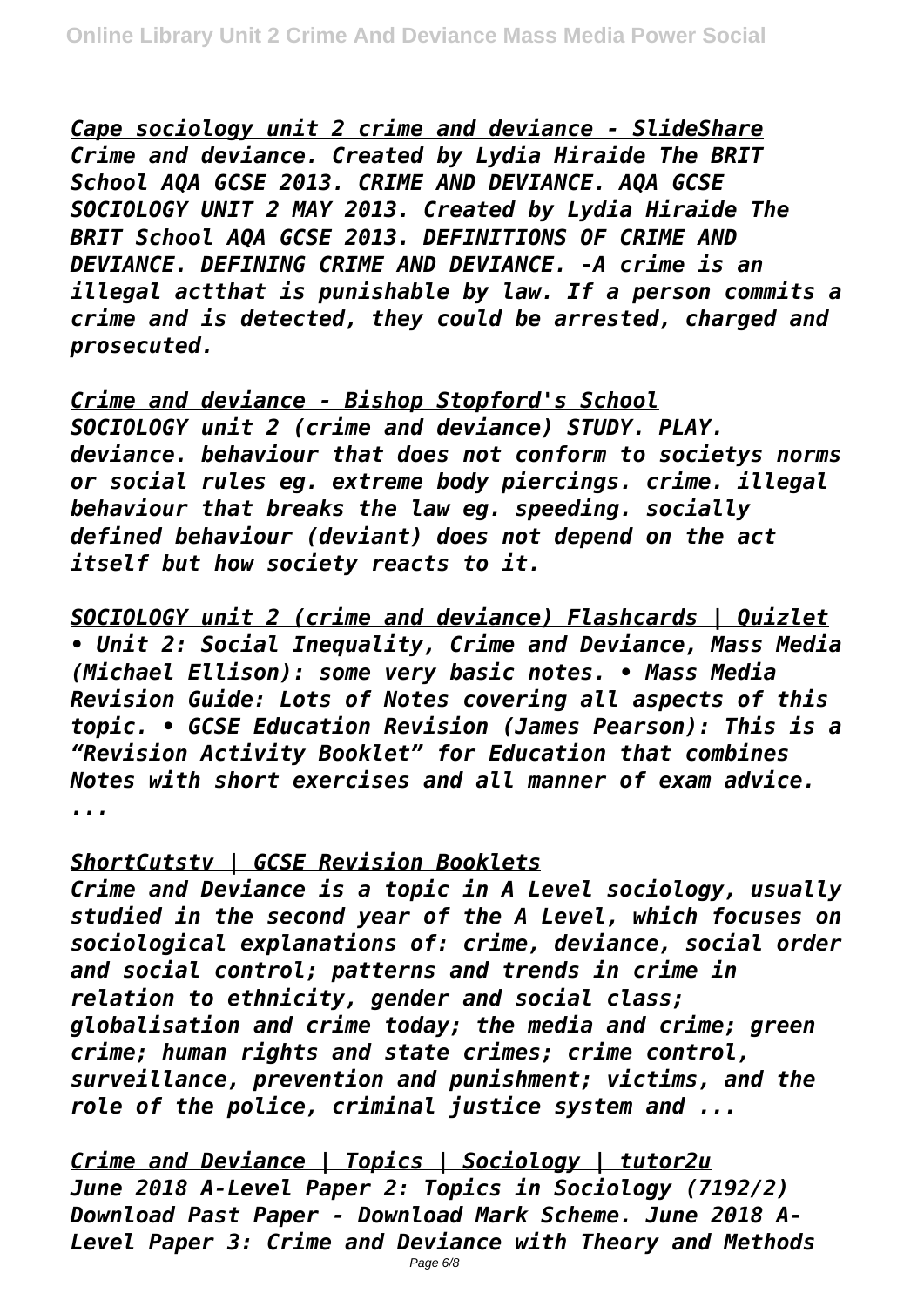*Cape sociology unit 2 crime and deviance - SlideShare Crime and deviance. Created by Lydia Hiraide The BRIT School AQA GCSE 2013. CRIME AND DEVIANCE. AQA GCSE SOCIOLOGY UNIT 2 MAY 2013. Created by Lydia Hiraide The BRIT School AQA GCSE 2013. DEFINITIONS OF CRIME AND DEVIANCE. DEFINING CRIME AND DEVIANCE. -A crime is an illegal actthat is punishable by law. If a person commits a crime and is detected, they could be arrested, charged and prosecuted.*

*Crime and deviance - Bishop Stopford's School SOCIOLOGY unit 2 (crime and deviance) STUDY. PLAY. deviance. behaviour that does not conform to societys norms or social rules eg. extreme body piercings. crime. illegal behaviour that breaks the law eg. speeding. socially defined behaviour (deviant) does not depend on the act itself but how society reacts to it.*

*SOCIOLOGY unit 2 (crime and deviance) Flashcards | Quizlet • Unit 2: Social Inequality, Crime and Deviance, Mass Media (Michael Ellison): some very basic notes. • Mass Media Revision Guide: Lots of Notes covering all aspects of this topic. • GCSE Education Revision (James Pearson): This is a "Revision Activity Booklet" for Education that combines Notes with short exercises and all manner of exam advice. ...*

#### *ShortCutstv | GCSE Revision Booklets*

*Crime and Deviance is a topic in A Level sociology, usually studied in the second year of the A Level, which focuses on sociological explanations of: crime, deviance, social order and social control; patterns and trends in crime in relation to ethnicity, gender and social class; globalisation and crime today; the media and crime; green crime; human rights and state crimes; crime control, surveillance, prevention and punishment; victims, and the role of the police, criminal justice system and ...*

*Crime and Deviance | Topics | Sociology | tutor2u June 2018 A-Level Paper 2: Topics in Sociology (7192/2) Download Past Paper - Download Mark Scheme. June 2018 A-Level Paper 3: Crime and Deviance with Theory and Methods*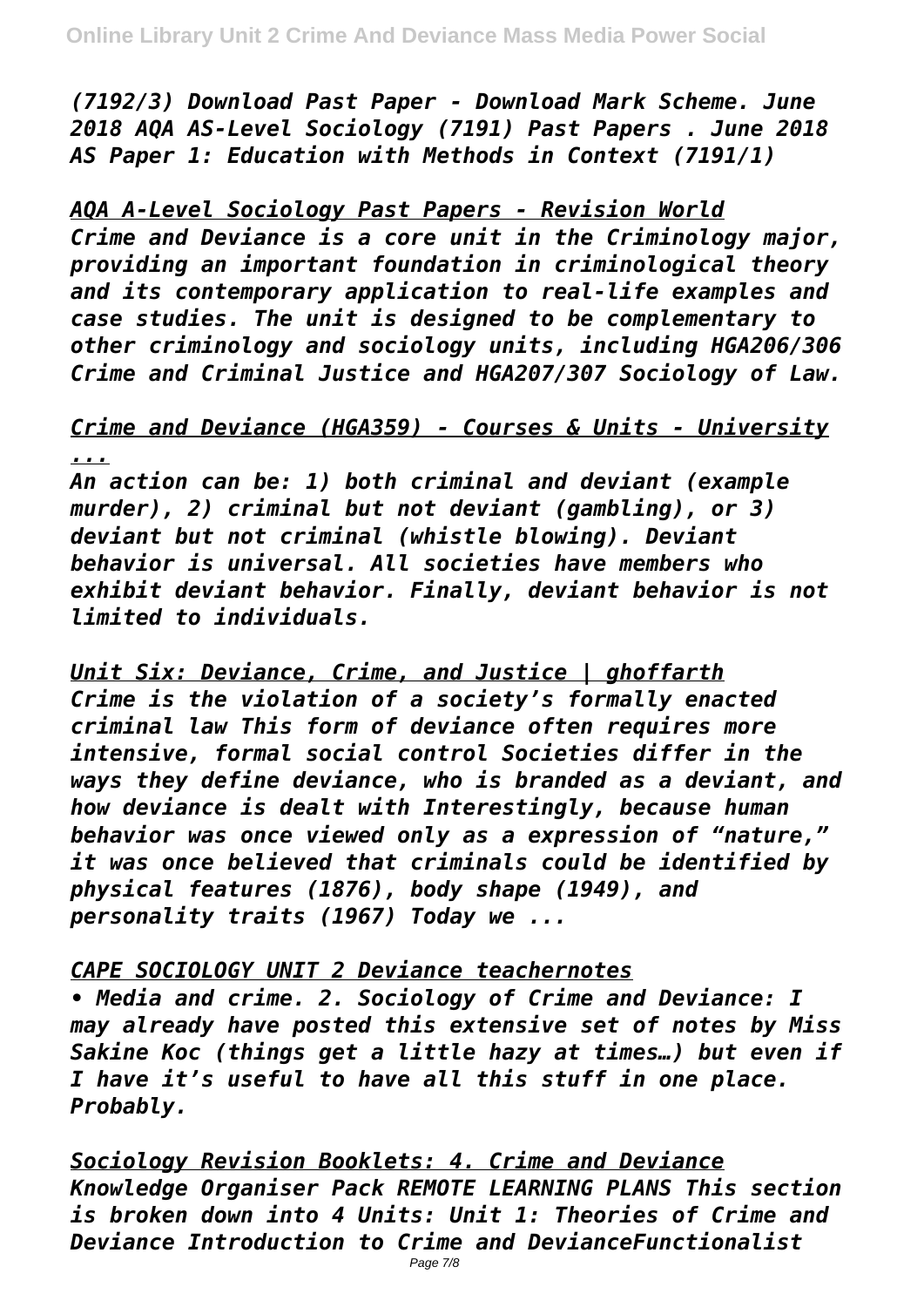*(7192/3) Download Past Paper - Download Mark Scheme. June 2018 AQA AS-Level Sociology (7191) Past Papers . June 2018 AS Paper 1: Education with Methods in Context (7191/1)*

*AQA A-Level Sociology Past Papers - Revision World Crime and Deviance is a core unit in the Criminology major, providing an important foundation in criminological theory and its contemporary application to real-life examples and case studies. The unit is designed to be complementary to other criminology and sociology units, including HGA206/306 Crime and Criminal Justice and HGA207/307 Sociology of Law.*

## *Crime and Deviance (HGA359) - Courses & Units - University ...*

*An action can be: 1) both criminal and deviant (example murder), 2) criminal but not deviant (gambling), or 3) deviant but not criminal (whistle blowing). Deviant behavior is universal. All societies have members who exhibit deviant behavior. Finally, deviant behavior is not limited to individuals.*

*Unit Six: Deviance, Crime, and Justice | ghoffarth Crime is the violation of a society's formally enacted criminal law This form of deviance often requires more intensive, formal social control Societies differ in the ways they define deviance, who is branded as a deviant, and how deviance is dealt with Interestingly, because human behavior was once viewed only as a expression of "nature," it was once believed that criminals could be identified by physical features (1876), body shape (1949), and personality traits (1967) Today we ...*

#### *CAPE SOCIOLOGY UNIT 2 Deviance teachernotes*

*• Media and crime. 2. Sociology of Crime and Deviance: I may already have posted this extensive set of notes by Miss Sakine Koc (things get a little hazy at times…) but even if I have it's useful to have all this stuff in one place. Probably.*

*Sociology Revision Booklets: 4. Crime and Deviance Knowledge Organiser Pack REMOTE LEARNING PLANS This section is broken down into 4 Units: Unit 1: Theories of Crime and Deviance Introduction to Crime and DevianceFunctionalist*